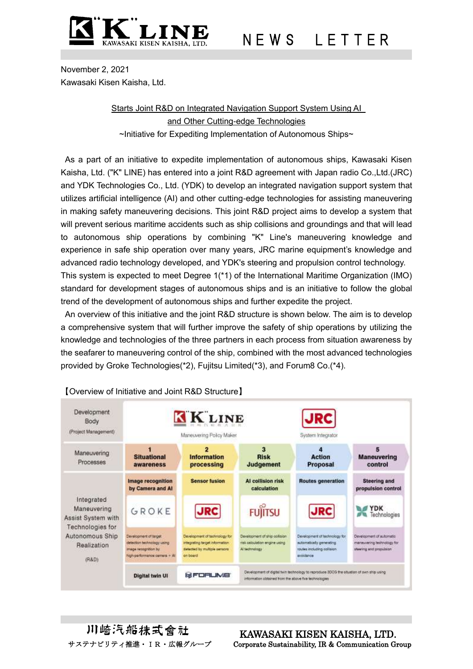

N E W S L E T T E R

November 2, 2021 Kawasaki Kisen Kaisha, Ltd.

> Starts Joint R&D on Integrated Navigation Support System Using AI and Other Cutting-edge Technologies ~Initiative for Expediting Implementation of Autonomous Ships~

As a part of an initiative to expedite implementation of autonomous ships, Kawasaki Kisen Kaisha, Ltd. ("K" LINE) has entered into a joint R&D agreement with Japan radio Co.,Ltd.(JRC) and YDK Technologies Co., Ltd. (YDK) to develop an integrated navigation support system that utilizes artificial intelligence (AI) and other cutting-edge technologies for assisting maneuvering in making safety maneuvering decisions. This joint R&D project aims to develop a system that will prevent serious maritime accidents such as ship collisions and groundings and that will lead to autonomous ship operations by combining "K" Line's maneuvering knowledge and experience in safe ship operation over many years, JRC marine equipment's knowledge and advanced radio technology developed, and YDK's steering and propulsion control technology. This system is expected to meet Degree 1(\*1) of the International Maritime Organization (IMO) standard for development stages of autonomous ships and is an initiative to follow the global trend of the development of autonomous ships and further expedite the project.

An overview of this initiative and the joint R&D structure is shown below. The aim is to develop a comprehensive system that will further improve the safety of ship operations by utilizing the knowledge and technologies of the three partners in each process from situation awareness by the seafarer to maneuvering control of the ship, combined with the most advanced technologies provided by Groke Technologies(\*2), Fujitsu Limited(\*3), and Forum8 Co.(\*4).



# 【Overview of Initiative and Joint R&D Structure】

川崎汽船抹式會社

 KAWASAKI KISEN KAISHA, LTD. サステナビリティ推進・IR・広報グループ Corporate Sustainability, IR & Communication Group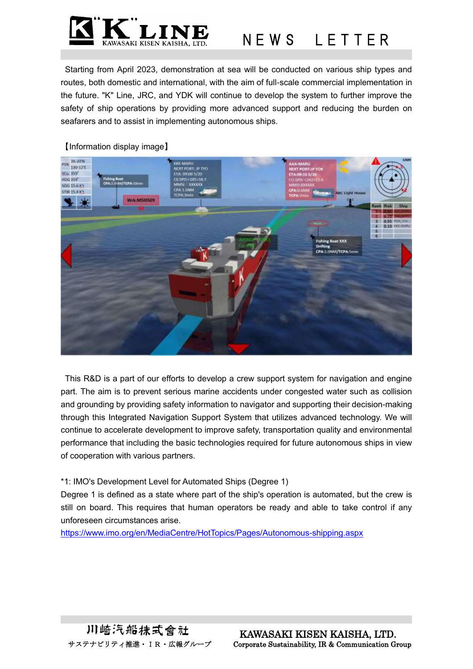

N E W S L E T T E R

Starting from April 2023, demonstration at sea will be conducted on various ship types and routes, both domestic and international, with the aim of full-scale commercial implementation in the future. "K" Line, JRC, and YDK will continue to develop the system to further improve the safety of ship operations by providing more advanced support and reducing the burden on seafarers and to assist in implementing autonomous ships.

### 【Information display image】



This R&D is a part of our efforts to develop a crew support system for navigation and engine part. The aim is to prevent serious marine accidents under congested water such as collision and grounding by providing safety information to navigator and supporting their decision-making through this Integrated Navigation Support System that utilizes advanced technology. We will continue to accelerate development to improve safety, transportation quality and environmental performance that including the basic technologies required for future autonomous ships in view of cooperation with various partners.

#### \*1: IMO's Development Level for Automated Ships (Degree 1)

Degree 1 is defined as a state where part of the ship's operation is automated, but the crew is still on board. This requires that human operators be ready and able to take control if any unforeseen circumstances arise.

<https://www.imo.org/en/MediaCentre/HotTopics/Pages/Autonomous-shipping.aspx>

川崎汽船抹式會社

 KAWASAKI KISEN KAISHA, LTD. サステナビリティ推進・IR・広報グループ Corporate Sustainability, IR & Communication Group